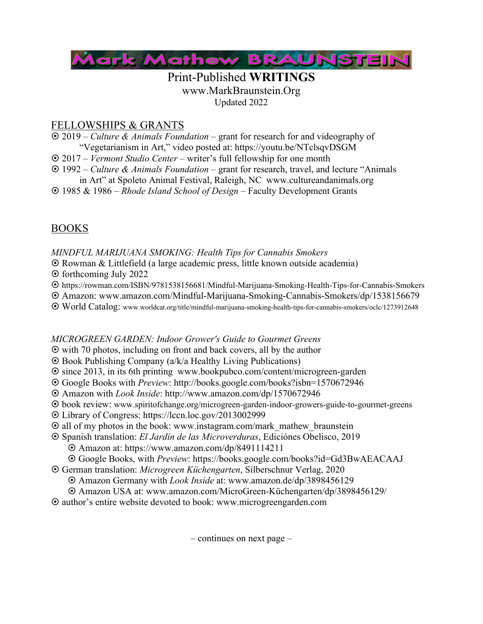

### Print-Published **WRITINGS** www.MarkBraunstein.Org Updated 2022

## FELLOWSHIPS & GRANTS

- ¤ 2019 *Culture & Animals Foundation* grant for research for and videography of "Vegetarianism in Art," video posted at: https://youtu.be/NTclsqvDSGM
- ¤ 2017 *Vermont Studio Center* writer's full fellowship for one month
- ¤ 1992 *Culture & Animals Foundation* grant for research, travel, and lecture "Animals
- in Art" at Spoleto Animal Festival, Raleigh, NC www.cultureandanimals.org
- ¤ 1985 & 1986 *Rhode Island School of Design –* Faculty Development Grants

## BOOKS

*MINDFUL MARIJUANA SMOKING: Health Tips for Cannabis Smokers*

¤ Rowman & Littlefield (a large academic press, little known outside academia)

 $\odot$  forthcoming July 2022

- ¤ https://rowman.com/ISBN/9781538156681/Mindful-Marijuana-Smoking-Health-Tips-for-Cannabis-Smokers
- ¤ Amazon: www.amazon.com/Mindful-Marijuana-Smoking-Cannabis-Smokers/dp/1538156679
- ¤ World Catalog: www.worldcat.org/title/mindful-marijuana-smoking-health-tips-for-cannabis-smokers/oclc/1273912648

### *MICROGREEN GARDEN: Indoor Grower's Guide to Gourmet Greens*

- $\odot$  with 70 photos, including on front and back covers, all by the author
- $\odot$  Book Publishing Company (a/k/a Healthy Living Publications)
- ¤ since 2013, in its 6th printing www.bookpubco.com/content/microgreen-garden
- ¤ Google Books with *Preview*: http://books.google.com/books?isbn=1570672946
- ¤ Amazon with *Look Inside*: http://www.amazon.com/dp/1570672946
- ¤ book review: www.spiritofchange.org/microgreen-garden-indoor-growers-guide-to-gourmet-greens
- ¤ Library of Congress: https://lccn.loc.gov/2013002999
- $\odot$  all of my photos in the book: www.instagram.com/mark\_mathew\_braunstein
- ¤ Spanish translation: *El Jardín de las Microverduras*, Ediciónes Obelisco, 2019
	- ¤ Amazon at: https://www.amazon.com/dp/8491114211
	- ¤ Google Books, with *Preview*: https://books.google.com/books?id=Gd3BwAEACAAJ
- ¤ German translation: *Microgreen Küchengarten*, Silberschnur Verlag, 2020
	- ¤ Amazon Germany with *Look Inside* at: www.amazon.de/dp/3898456129
	- ¤ Amazon USA at: www.amazon.com/MicroGreen-Küchengarten/dp/3898456129/
- ¤ author's entire website devoted to book: www.microgreengarden.com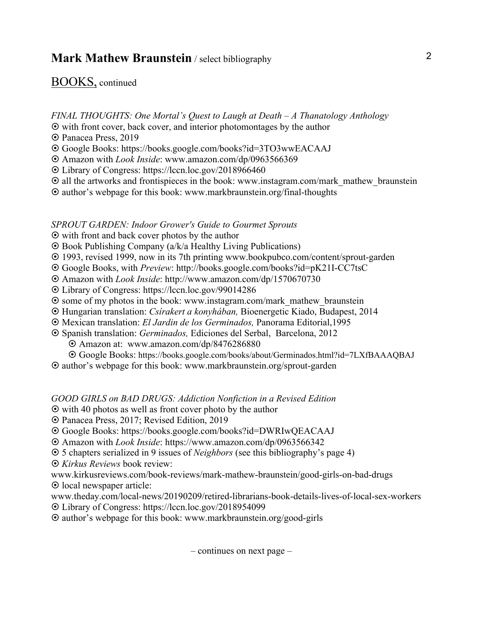### BOOKS, continued

*FINAL THOUGHTS: One Mortal's Quest to Laugh at Death – A Thanatology Anthology*

- $\odot$  with front cover, back cover, and interior photomontages by the author
- $\odot$  Panacea Press, 2019
- ¤ Google Books: https://books.google.com/books?id=3TO3wwEACAAJ
- ¤ Amazon with *Look Inside*: www.amazon.com/dp/0963566369
- ¤ Library of Congress: https://lccn.loc.gov/2018966460
- $\odot$  all the artworks and frontispieces in the book: www.instagram.com/mark mathew braunstein
- ¤ author's webpage for this book: www.markbraunstein.org/final-thoughts

#### *SPROUT GARDEN: Indoor Grower's Guide to Gourmet Sprouts*

- $\odot$  with front and back cover photos by the author
- ¤ Book Publishing Company (a/k/a Healthy Living Publications)
- ¤ 1993, revised 1999, now in its 7th printing www.bookpubco.com/content/sprout-garden
- ¤ Google Books, with *Preview*: http://books.google.com/books?id=pK21I-CC7tsC
- ¤ Amazon with *Look Inside*: http://www.amazon.com/dp/1570670730
- ¤ Library of Congress: https://lccn.loc.gov/99014286
- $\odot$  some of my photos in the book: www.instagram.com/mark\_mathew\_braunstein
- ¤ Hungarian translation: *Csírakert a konyhában,* Bioenergetic Kiado, Budapest, 2014
- ¤ Mexican translation: *El Jardin de los Germinados,* Panorama Editorial,1995
- ¤ Spanish translation: *Germinados,* Ediciones del Serbal, Barcelona, 2012
	- ¤ Amazon at: www.amazon.com/dp/8476286880
	- ¤ Google Books: https://books.google.com/books/about/Germinados.html?id=7LXfBAAAQBAJ
- ¤ author's webpage for this book: www.markbraunstein.org/sprout-garden

#### *GOOD GIRLS on BAD DRUGS: Addiction Nonfiction in a Revised Edition*

- $\odot$  with 40 photos as well as front cover photo by the author
- ¤ Panacea Press, 2017; Revised Edition, 2019
- ¤ Google Books: https://books.google.com/books?id=DWRIwQEACAAJ
- ¤ Amazon with *Look Inside*: https://www.amazon.com/dp/0963566342
- ¤ 5 chapters serialized in 9 issues of *Neighbors* (see this bibliography's page 4)
- ¤ *Kirkus Reviews* book review:

www.kirkusreviews.com/book-reviews/mark-mathew-braunstein/good-girls-on-bad-drugs  $\odot$  local newspaper article:

www.theday.com/local-news/20190209/retired-librarians-book-details-lives-of-local-sex-workers

¤ Library of Congress: https://lccn.loc.gov/2018954099

¤ author's webpage for this book: www.markbraunstein.org/good-girls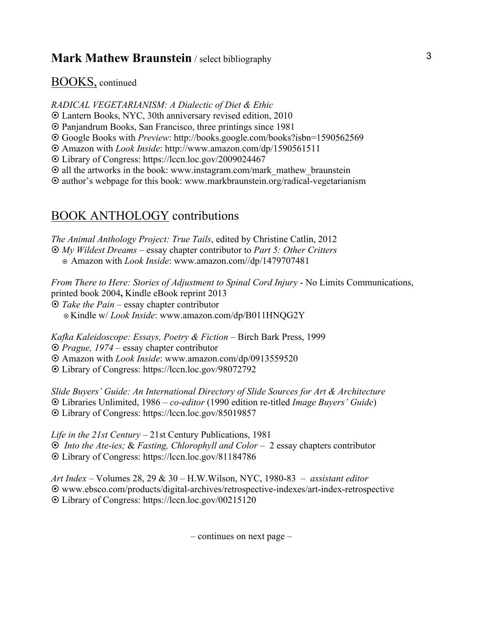### BOOKS, continued

*RADICAL VEGETARIANISM: A Dialectic of Diet & Ethic*

¤ Lantern Books, NYC, 30th anniversary revised edition, 2010

¤ Panjandrum Books, San Francisco, three printings since 1981

¤ Google Books with *Preview*: http://books.google.com/books?isbn=1590562569

¤ Amazon with *Look Inside*: http://www.amazon.com/dp/1590561511

¤ Library of Congress: https://lccn.loc.gov/2009024467

 $\odot$  all the artworks in the book: www.instagram.com/mark mathew braunstein

¤ author's webpage for this book: www.markbraunstein.org/radical-vegetarianism

## BOOK ANTHOLOGY contributions

*The Animal Anthology Project: True Tails*, edited by Christine Catlin, 2012 ¤ *My Wildest Dreams* – essay chapter contributor to *Part 5: Other Critters* ¤ Amazon with *Look Inside*: www.amazon.com//dp/1479707481

*From There to Here: Stories of Adjustment to Spinal Cord Injury* - No Limits Communications, printed book 2004**,** Kindle eBook reprint 2013 ¤ *Take the Pain* – essay chapter contributor ¤ Kindle w/ *Look Inside*: www.amazon.com/dp/B011HNQG2Y

*Kafka Kaleidoscope: Essays, Poetry & Fiction* – Birch Bark Press, 1999 ¤ *Prague, 1974* – essay chapter contributor

¤ Amazon with *Look Inside*: www.amazon.com/dp/0913559520

¤ Library of Congress: https://lccn.loc.gov/98072792

*Slide Buyers' Guide: An International Directory of Slide Sources for Art & Architecture* ¤ Libraries Unlimited, 1986 – *co-editor* (1990 edition re-titled *Image Buyers' Guide*) ¤ Library of Congress: https://lccn.loc.gov/85019857

*Life in the 21st Century* – 21st Century Publications, 1981 ¤ *Into the Ate-ies;* & *Fasting, Chlorophyll and Color* – 2 essay chapters contributor ¤ Library of Congress: https://lccn.loc.gov/81184786

*Art Index* – Volumes 28, 29 & 30 – H.W.Wilson, NYC, 1980-83 – *assistant editor* ¤ www.ebsco.com/products/digital-archives/retrospective-indexes/art-index-retrospective ¤ Library of Congress: https://lccn.loc.gov/00215120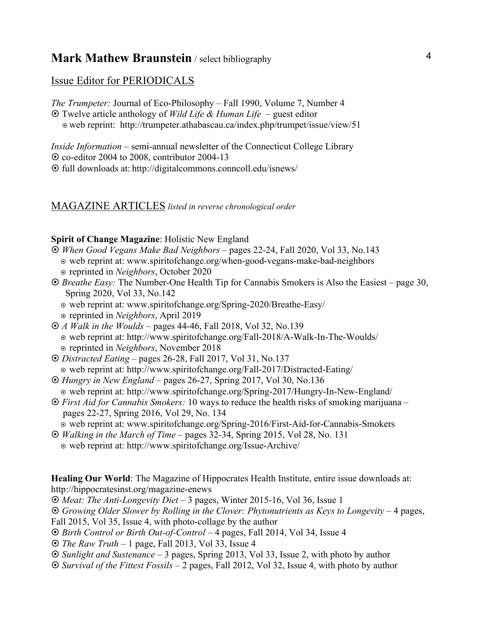### Issue Editor for PERIODICALS

*The Trumpeter:* Journal of Eco-Philosophy – Fall 1990, Volume 7, Number 4

¤ Twelve article anthology of *Wild Life & Human Life* – guest editor

¤ web reprint: http://trumpeter.athabascau.ca/index.php/trumpet/issue/view/51

*Inside Information –* semi-annual newsletter of the Connecticut College Library  $\odot$  co-editor 2004 to 2008, contributor 2004-13

¤ full downloads at: http://digitalcommons.conncoll.edu/isnews/

#### MAGAZINE ARTICLES *listed in reverse chronological order*

#### **Spirit of Change Magazine**: Holistic New England

- ¤ *When Good Vegans Make Bad Neighbors* pages 22-24, Fall 2020, Vol 33, No.143 ¤ web reprint at: www.spiritofchange.org/when-good-vegans-make-bad-neighbors ¤ reprinted in *Neighbors*, October 2020
- ¤ *Breathe Easy:* The Number-One Health Tip for Cannabis Smokers is Also the Easiest page 30, Spring 2020, Vol 33, No.142
	- ¤ web reprint at: www.spiritofchange.org/Spring-2020/Breathe-Easy/
	- ¤ reprinted in *Neighbors*, April 2019
- ¤ *A Walk in the Woulds* pages 44-46, Fall 2018, Vol 32, No.139 ¤ web reprint at: http://www.spiritofchange.org/Fall-2018/A-Walk-In-The-Woulds/ ¤ reprinted in *Neighbors*, November 2018
- ¤ *Distracted Eating* pages 26-28, Fall 2017, Vol 31, No.137 ¤ web reprint at: http://www.spiritofchange.org/Fall-2017/Distracted-Eating/
- ¤ *Hungry in New England* pages 26-27, Spring 2017, Vol 30, No.136 ¤ web reprint at: http://www.spiritofchange.org/Spring-2017/Hungry-In-New-England/
- ¤ *First Aid for Cannabis Smokers:* 10 ways to reduce the health risks of smoking marijuana pages 22-27, Spring 2016, Vol 29, No. 134

¤ web reprint at: www.spiritofchange.org/Spring-2016/First-Aid-for-Cannabis-Smokers

- ¤ *Walking in the March of Time* pages 32-34, Spring 2015, Vol 28, No. 131
- ¤ web reprint at: http://www.spiritofchange.org/Issue-Archive/

**Healing Our World**: The Magazine of Hippocrates Health Institute, entire issue downloads at: http://hippocratesinst.org/magazine-enews

¤ *Meat: The Anti-Longevity Diet* – 3 pages, Winter 2015-16, Vol 36, Issue 1

¤ *Growing Older Slower by Rolling in the Clover: Phytonutrients as Keys to Longevity* – 4 pages, Fall 2015, Vol 35, Issue 4, with photo-collage by the author

- ¤ *Birth Control or Birth Out-of-Control* 4 pages, Fall 2014, Vol 34, Issue 4
- ¤ *The Raw Truth* 1 page, Fall 2013, Vol 33, Issue 4
- ¤ *Sunlight and Sustenance* 3 pages, Spring 2013, Vol 33, Issue 2, with photo by author
- ¤ *Survival of the Fittest Fossils* 2 pages, Fall 2012, Vol 32, Issue 4, with photo by author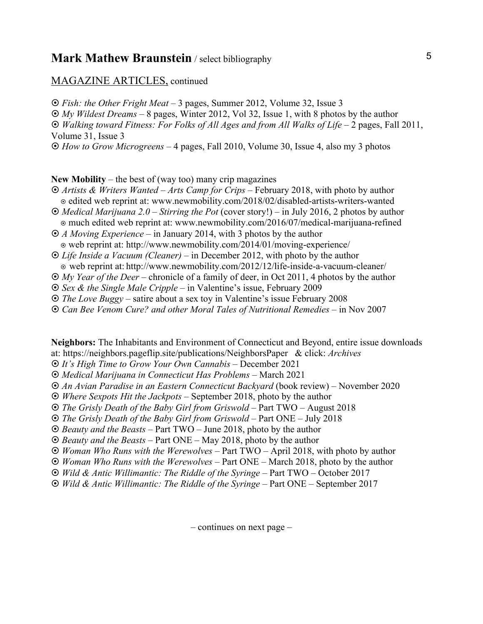#### MAGAZINE ARTICLES, continued

¤ *Fish: the Other Fright Meat* – 3 pages, Summer 2012, Volume 32, Issue 3 ¤ *My Wildest Dreams* – 8 pages, Winter 2012, Vol 32, Issue 1, with 8 photos by the author ¤ *Walking toward Fitness: For Folks of All Ages and from All Walks of Life* – 2 pages, Fall 2011, Volume 31, Issue 3

¤ *How to Grow Microgreens* – 4 pages, Fall 2010, Volume 30, Issue 4, also my 3 photos

**New Mobility** – the best of (way too) many crip magazines

- ¤ *Artists & Writers Wanted – Arts Camp for Crips* February 2018, with photo by author ¤ edited web reprint at: www.newmobility.com/2018/02/disabled-artists-writers-wanted
- ¤ *Medical Marijuana 2.0 – Stirring the Pot* (cover story!) in July 2016, 2 photos by author ¤ much edited web reprint at: www.newmobility.com/2016/07/medical-marijuana-refined

¤ *A Moving Experience* – in January 2014, with 3 photos by the author ¤ web reprint at: http://www.newmobility.com/2014/01/moving-experience/

- ¤ *Life Inside a Vacuum (Cleaner)*  in December 2012, with photo by the author ¤ web reprint at: http://www.newmobility.com/2012/12/life-inside-a-vacuum-cleaner/
- ¤ *My Year of the Deer* chronicle of a family of deer, in Oct 2011, 4 photos by the author
- ¤ *Sex & the Single Male Cripple* in Valentine's issue, February 2009
- ¤ *The Love Buggy*  satire about a sex toy in Valentine's issue February 2008
- 
- ¤ *Can Bee Venom Cure? and other Moral Tales of Nutritional Remedies* in Nov 2007

**Neighbors:** The Inhabitants and Environment of Connecticut and Beyond, entire issue downloads at: https://neighbors.pageflip.site/publications/NeighborsPaper & click: *Archives*

¤ *It's High Time to Grow Your Own Cannabis* – December 2021

- ¤ *Medical Marijuana in Connecticut Has Problems*  March 2021
- ¤ *An Avian Paradise in an Eastern Connecticut Backyard* (book review) November 2020
- ¤ *Where Sexpots Hit the Jackpots*  September 2018, photo by the author
- ¤ *The Grisly Death of the Baby Girl from Griswold*  Part TWO August 2018
- ¤ *The Grisly Death of the Baby Girl from Griswold*  Part ONE July 2018
- ¤ *Beauty and the Beasts*  Part TWO June 2018, photo by the author
- ¤ *Beauty and the Beasts*  Part ONE May 2018, photo by the author
- ¤ *Woman Who Runs with the Werewolves*  Part TWO April 2018, with photo by author
- ¤ *Woman Who Runs with the Werewolves* Part ONE March 2018, photo by the author
- ¤ *Wild & Antic Willimantic: The Riddle of the Syringe* Part TWO October 2017
- ¤ *Wild & Antic Willimantic: The Riddle of the Syringe* Part ONE September 2017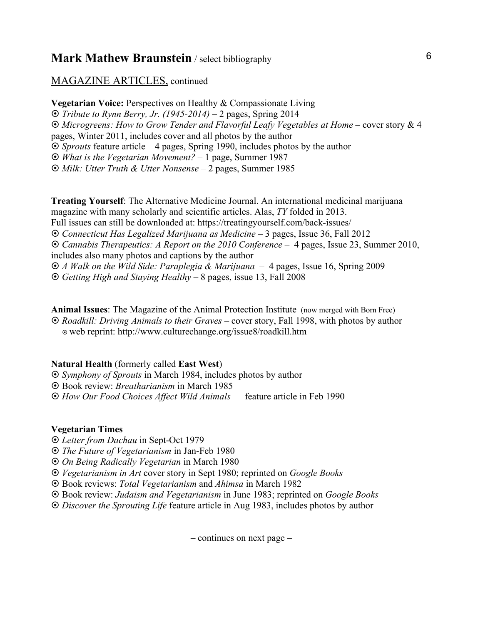#### MAGAZINE ARTICLES, continued

**Vegetarian Voice:** Perspectives on Healthy & Compassionate Living ¤ *Tribute to Rynn Berry, Jr. (1945-2014)* – 2 pages, Spring 2014  $\odot$  *Microgreens: How to Grow Tender and Flavorful Leafy Vegetables at Home* – cover story & 4 pages, Winter 2011, includes cover and all photos by the author ¤ *Sprouts* feature article – 4 pages, Spring 1990, includes photos by the author ¤ *What is the Vegetarian Movement?* – 1 page, Summer 1987 ¤ *Milk: Utter Truth & Utter Nonsense* – 2 pages, Summer 1985

**Treating Yourself**: The Alternative Medicine Journal. An international medicinal marijuana magazine with many scholarly and scientific articles. Alas, *TY* folded in 2013. Full issues can still be downloaded at: https://treatingyourself.com/back-issues/ ¤ *Connecticut Has Legalized Marijuana as Medicine* – 3 pages, Issue 36, Fall 2012 ¤ *Cannabis Therapeutics: A Report on the 2010 Conference* – 4 pages, Issue 23, Summer 2010, includes also many photos and captions by the author ¤ *A Walk on the Wild Side: Paraplegia & Marijuana* – 4 pages, Issue 16, Spring 2009 ¤ *Getting High and Staying Healthy* – 8 pages, issue 13, Fall 2008

**Animal Issues**: The Magazine of the Animal Protection Institute (now merged with Born Free) ¤ *Roadkill: Driving Animals to their Graves* – cover story, Fall 1998, with photos by author ¤ web reprint: http://www.culturechange.org/issue8/roadkill.htm

#### **Natural Health** (formerly called **East West**)

¤ *Symphony of Sprouts* in March 1984, includes photos by author

¤ Book review: *Breatharianism* in March 1985

¤ *How Our Food Choices Affect Wild Animals* – feature article in Feb 1990

#### **Vegetarian Times**

¤ *Letter from Dachau* in Sept-Oct 1979

¤ *The Future of Vegetarianism* in Jan-Feb 1980

¤ *On Being Radically Vegetarian* in March 1980

¤ *Vegetarianism in Art* cover story in Sept 1980; reprinted on *Google Books*

¤ Book reviews: *Total Vegetarianism* and *Ahimsa* in March 1982

¤ Book review: *Judaism and Vegetarianism* in June 1983; reprinted on *Google Books*

¤ *Discover the Sprouting Life* feature article in Aug 1983, includes photos by author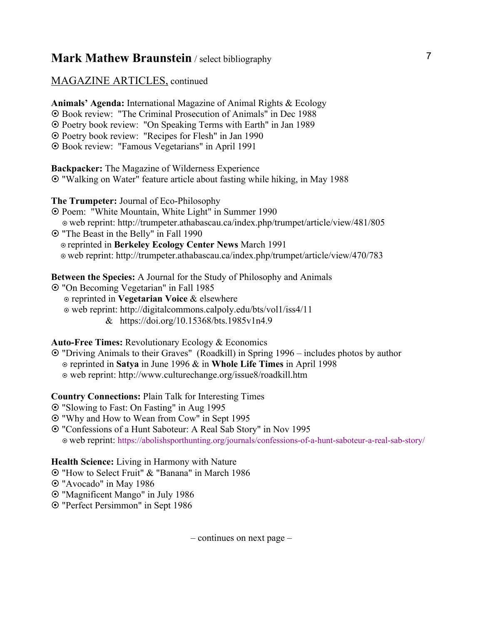#### MAGAZINE ARTICLES, continued

**Animals' Agenda:** International Magazine of Animal Rights & Ecology ¤ Book review: "The Criminal Prosecution of Animals" in Dec 1988 ¤ Poetry book review: "On Speaking Terms with Earth" in Jan 1989 ¤ Poetry book review: "Recipes for Flesh" in Jan 1990 ¤ Book review: "Famous Vegetarians" in April 1991

**Backpacker:** The Magazine of Wilderness Experience ¤ "Walking on Water" feature article about fasting while hiking, in May 1988

**The Trumpeter:** Journal of Eco-Philosophy

- ¤ Poem: "White Mountain, White Light" in Summer 1990
- ¤ web reprint: http://trumpeter.athabascau.ca/index.php/trumpet/article/view/481/805
- ¤ "The Beast in the Belly" in Fall 1990 ¤ reprinted in **Berkeley Ecology Center News** March 1991 ¤ web reprint: http://trumpeter.athabascau.ca/index.php/trumpet/article/view/470/783

**Between the Species:** A Journal for the Study of Philosophy and Animals

- ¤ "On Becoming Vegetarian" in Fall 1985
	- ¤ reprinted in **Vegetarian Voice** & elsewhere
	- ¤ web reprint: http://digitalcommons.calpoly.edu/bts/vol1/iss4/11
		- & https://doi.org/10.15368/bts.1985v1n4.9

#### **Auto-Free Times:** Revolutionary Ecology & Economics

- ¤ "Driving Animals to their Graves" (Roadkill) in Spring 1996 includes photos by author
	- ¤ reprinted in **Satya** in June 1996 & in **Whole Life Times** in April 1998
	- ¤ web reprint: http://www.culturechange.org/issue8/roadkill.htm

#### **Country Connections:** Plain Talk for Interesting Times

- ¤ "Slowing to Fast: On Fasting" in Aug 1995
- ¤ "Why and How to Wean from Cow" in Sept 1995
- ¤ "Confessions of a Hunt Saboteur: A Real Sab Story" in Nov 1995 ¤ web reprint: https://abolishsporthunting.org/journals/confessions-of-a-hunt-saboteur-a-real-sab-story/

#### **Health Science:** Living in Harmony with Nature

¤ "How to Select Fruit" & "Banana" in March 1986

¤ "Avocado" in May 1986

- ¤ "Magnificent Mango" in July 1986
- ¤ "Perfect Persimmon" in Sept 1986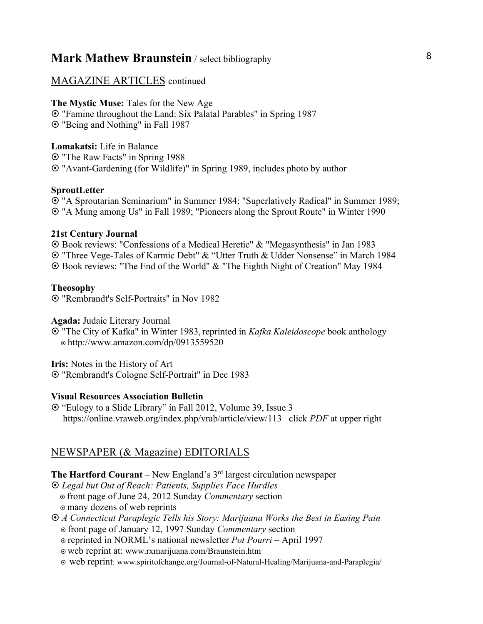### MAGAZINE ARTICLES continued

**The Mystic Muse:** Tales for the New Age

¤ "Famine throughout the Land: Six Palatal Parables" in Spring 1987 ¤ "Being and Nothing" in Fall 1987

**Lomakatsi:** Life in Balance ¤ "The Raw Facts" in Spring 1988 ¤ "Avant-Gardening (for Wildlife)" in Spring 1989, includes photo by author

#### **SproutLetter**

¤ "A Sproutarian Seminarium" in Summer 1984; "Superlatively Radical" in Summer 1989; ¤ "A Mung among Us" in Fall 1989; "Pioneers along the Sprout Route" in Winter 1990

#### **21st Century Journal**

¤ Book reviews: "Confessions of a Medical Heretic" & "Megasynthesis" in Jan 1983 ¤ "Three Vege-Tales of Karmic Debt" & "Utter Truth & Udder Nonsense" in March 1984 ¤ Book reviews: "The End of the World" & "The Eighth Night of Creation" May 1984

#### **Theosophy**

¤ "Rembrandt's Self-Portraits" in Nov 1982

**Agada:** Judaic Literary Journal

¤ "The City of Kafka" in Winter 1983, reprinted in *Kafka Kaleidoscope* book anthology ¤ http://www.amazon.com/dp/0913559520

**Iris:** Notes in the History of Art

¤ "Rembrandt's Cologne Self-Portrait" in Dec 1983

#### **Visual Resources Association Bulletin**

¤ "Eulogy to a Slide Library" in Fall 2012, Volume 39, Issue 3 https://online.vraweb.org/index.php/vrab/article/view/113 click *PDF* at upper right

### NEWSPAPER (& Magazine) EDITORIALS

**The Hartford Courant** – New England's 3<sup>rd</sup> largest circulation newspaper

- ¤ *Legal but Out of Reach: Patients, Supplies Face Hurdles* ¤ front page of June 24, 2012 Sunday *Commentary* section  $\circ$  many dozens of web reprints
- ¤ *A Connecticut Paraplegic Tells his Story: Marijuana Works the Best in Easing Pain* ¤ front page of January 12, 1997 Sunday *Commentary* section

¤ reprinted in NORML's national newsletter *Pot Pourri* – April 1997

- ¤ web reprint at: www.rxmarijuana.com/Braunstein.htm
- ¤ web reprint: www.spiritofchange.org/Journal-of-Natural-Healing/Marijuana-and-Paraplegia/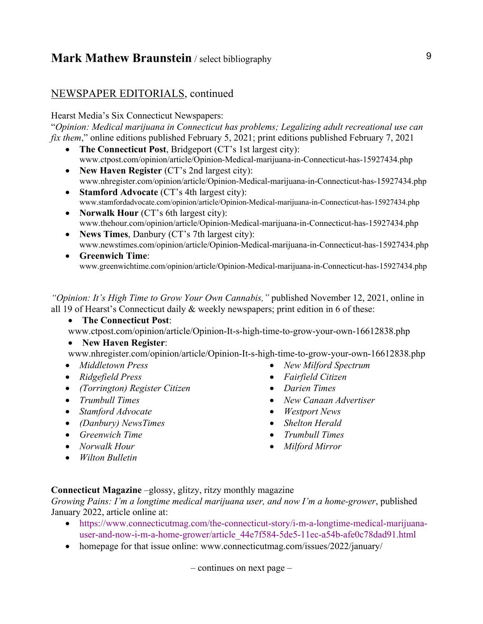### NEWSPAPER EDITORIALS, continued

#### Hearst Media's Six Connecticut Newspapers:

"*Opinion: Medical marijuana in Connecticut has problems; Legalizing adult recreational use can fix them*," online editions published February 5, 2021; print editions published February 7, 2021

- **The Connecticut Post**, Bridgeport (CT's 1st largest city): www.ctpost.com/opinion/article/Opinion-Medical-marijuana-in-Connecticut-has-15927434.php
- **New Haven Register** (CT's 2nd largest city): www.nhregister.com/opinion/article/Opinion-Medical-marijuana-in-Connecticut-has-15927434.php
- **Stamford Advocate** (CT's 4th largest city): www.stamfordadvocate.com/opinion/article/Opinion-Medical-marijuana-in-Connecticut-has-15927434.php
- **Norwalk Hour** (CT's 6th largest city): www.thehour.com/opinion/article/Opinion-Medical-marijuana-in-Connecticut-has-15927434.php
- **News Times**, Danbury (CT's 7th largest city): www.newstimes.com/opinion/article/Opinion-Medical-marijuana-in-Connecticut-has-15927434.php
- **Greenwich Time**: www.greenwichtime.com/opinion/article/Opinion-Medical-marijuana-in-Connecticut-has-15927434.php

*"Opinion: It's High Time to Grow Your Own Cannabis,"* published November 12, 2021, online in all 19 of Hearst's Connecticut daily & weekly newspapers; print edition in 6 of these:

• **The Connecticut Post**:

www.ctpost.com/opinion/article/Opinion-It-s-high-time-to-grow-your-own-16612838.php

• **New Haven Register**:

www.nhregister.com/opinion/article/Opinion-It-s-high-time-to-grow-your-own-16612838.php

- *Middletown Press*
- *Ridgefield Press*
- *(Torrington) Register Citizen*
- *Trumbull Times*
- *Stamford Advocate*
- *(Danbury) NewsTimes*
- *Greenwich Time*
- *Norwalk Hour*
- *Wilton Bulletin*
- *New Milford Spectrum*
- *Fairfield Citizen*
- *Darien Times*
- *New Canaan Advertiser*
- *Westport News*
- *Shelton Herald*
- *Trumbull Times*
- *Milford Mirror*

#### **Connecticut Magazine** –glossy, glitzy, ritzy monthly magazine

*Growing Pains: I'm a longtime medical marijuana user, and now I'm a home-grower*, published January 2022, article online at:

- https://www.connecticutmag.com/the-connecticut-story/i-m-a-longtime-medical-marijuanauser-and-now-i-m-a-home-grower/article\_44e7f584-5de5-11ec-a54b-afe0c78dad91.html
- homepage for that issue online: www.connecticutmag.com/issues/2022/january/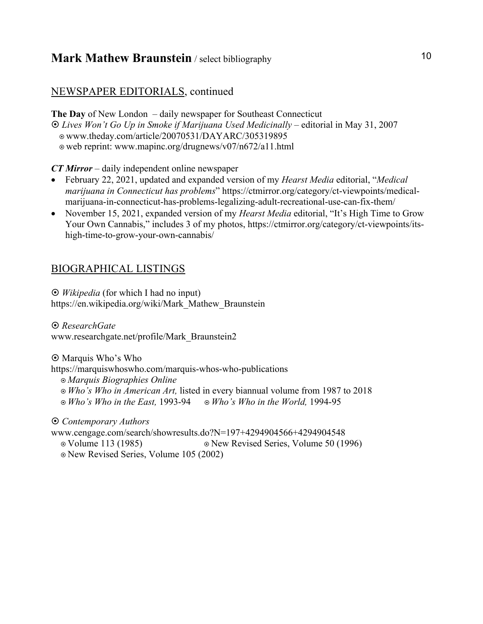### NEWSPAPER EDITORIALS, continued

**The Day** of New London – daily newspaper for Southeast Connecticut ¤ *Lives Won't Go Up in Smoke if Marijuana Used Medicinally* – editorial in May 31, 2007 ¤ www.theday.com/article/20070531/DAYARC/305319895 ¤ web reprint: www.mapinc.org/drugnews/v07/n672/a11.html

*CT Mirror* – daily independent online newspaper

- February 22, 2021, updated and expanded version of my *Hearst Media* editorial, "*Medical marijuana in Connecticut has problems*" https://ctmirror.org/category/ct-viewpoints/medicalmarijuana-in-connecticut-has-problems-legalizing-adult-recreational-use-can-fix-them/
- November 15, 2021, expanded version of my *Hearst Media* editorial, "It's High Time to Grow Your Own Cannabis," includes 3 of my photos, https://ctmirror.org/category/ct-viewpoints/itshigh-time-to-grow-your-own-cannabis/

### BIOGRAPHICAL LISTINGS

¤ *Wikipedia* (for which I had no input) https://en.wikipedia.org/wiki/Mark\_Mathew\_Braunstein

¤ *ResearchGate* www.researchgate.net/profile/Mark\_Braunstein2

 $\odot$  Marquis Who's Who https://marquiswhoswho.com/marquis-whos-who-publications ¤ *Marquis Biographies Online*  ¤ *Who's Who in American Art,* listed in every biannual volume from 1987 to 2018 ¤ *Who's Who in the East,* 1993-94 ¤ *Who's Who in the World,* 1994-95

¤ *Contemporary Authors*

www.cengage.com/search/showresults.do?N=197+4294904566+4294904548 ¤ Volume 113 (1985) ¤ New Revised Series, Volume 50 (1996) ¤ New Revised Series, Volume 105 (2002)